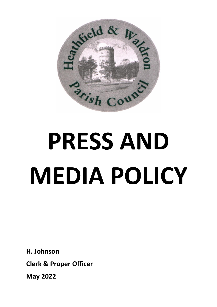

# **PRESS AND MEDIA POLICY**

**H. Johnson**

**Clerk & Proper Officer**

**May 2022**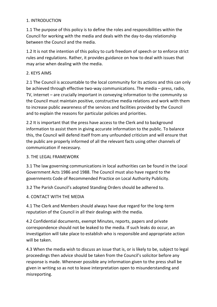### 1. INTRODUCTION

1.1 The purpose of this policy is to define the roles and responsibilities within the Council for working with the media and deals with the day-to-day relationship between the Council and the media.

1.2 It is not the intention of this policy to curb freedom of speech or to enforce strict rules and regulations. Rather, it provides guidance on how to deal with issues that may arise when dealing with the media.

## 2. KEYS AIMS

2.1 The Council is accountable to the local community for its actions and this can only be achieved through effective two-way communications. The media – press, radio, TV, internet – are crucially important in conveying information to the community so the Council must maintain positive, constructive media relations and work with them to increase public awareness of the services and facilities provided by the Council and to explain the reasons for particular policies and priorities.

2.2 It is important that the press have access to the Clerk and to background information to assist them in giving accurate information to the public. To balance this, the Council will defend itself from any unfounded criticism and will ensure that the public are properly informed of all the relevant facts using other channels of communication if necessary.

### 3. THE LEGAL FRAMEWORK

3.1 The law governing communications in local authorities can be found in the Local Government Acts 1986 and 1988. The Council must also have regard to the governments Code of Recommended Practice on Local Authority Publicity.

3.2 The Parish Council's adopted Standing Orders should be adhered to.

### 4. CONTACT WITH THE MEDIA

4.1 The Clerk and Members should always have due regard for the long-term reputation of the Council in all their dealings with the media.

4.2 Confidential documents, exempt Minutes, reports, papers and private correspondence should not be leaked to the media. If such leaks do occur, an investigation will take place to establish who is responsible and appropriate action will be taken.

4.3 When the media wish to discuss an issue that is, or is likely to be, subject to legal proceedings then advice should be taken from the Council's solicitor before any response is made. Whenever possible any information given to the press shall be given in writing so as not to leave interpretation open to misunderstanding and misreporting.